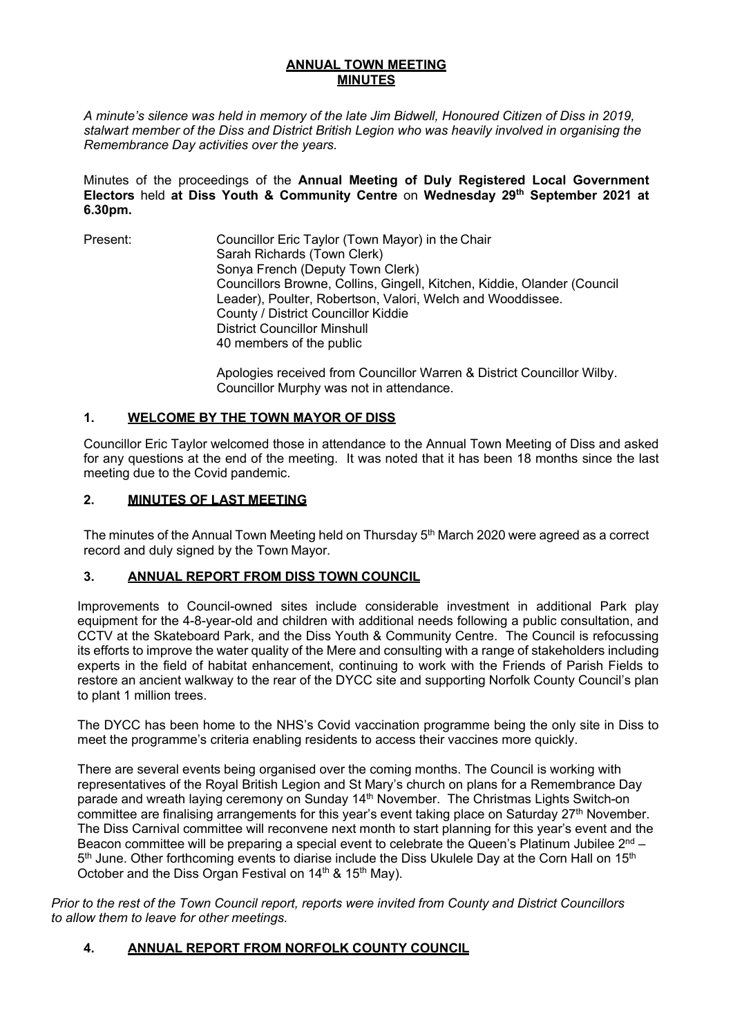### **ANNUAL TOWN MEETING MINUTES**

*A minute's silence was held in memory of the late Jim Bidwell, Honoured Citizen of Diss in 2019, stalwart member of the Diss and District British Legion who was heavily involved in organising the Remembrance Day activities over the years.*

Minutes of the proceedings of the **Annual Meeting of Duly Registered Local Government Electors** held **at Diss Youth & Community Centre** on **Wednesday 29th September 2021 at 6.30pm.**

Present: Councillor Eric Taylor (Town Mayor) in the Chair Sarah Richards (Town Clerk) Sonya French (Deputy Town Clerk) Councillors Browne, Collins, Gingell, Kitchen, Kiddie, Olander (Council Leader), Poulter, Robertson, Valori, Welch and Wooddissee. County / District Councillor Kiddie District Councillor Minshull 40 members of the public

> Apologies received from Councillor Warren & District Councillor Wilby. Councillor Murphy was not in attendance.

## **1. WELCOME BY THE TOWN MAYOR OF DISS**

Councillor Eric Taylor welcomed those in attendance to the Annual Town Meeting of Diss and asked for any questions at the end of the meeting. It was noted that it has been 18 months since the last meeting due to the Covid pandemic.

### **2. MINUTES OF LAST MEETING**

The minutes of the Annual Town Meeting held on Thursday 5<sup>th</sup> March 2020 were agreed as a correct record and duly signed by the Town Mayor.

# **3. ANNUAL REPORT FROM DISS TOWN COUNCIL**

Improvements to Council-owned sites include considerable investment in additional Park play equipment for the 4-8-year-old and children with additional needs following a public consultation, and CCTV at the Skateboard Park, and the Diss Youth & Community Centre. The Council is refocussing its efforts to improve the water quality of the Mere and consulting with a range of stakeholders including experts in the field of habitat enhancement, continuing to work with the Friends of Parish Fields to restore an ancient walkway to the rear of the DYCC site and supporting Norfolk County Council's plan to plant 1 million trees.

The DYCC has been home to the NHS's Covid vaccination programme being the only site in Diss to meet the programme's criteria enabling residents to access their vaccines more quickly.

There are several events being organised over the coming months. The Council is working with representatives of the Royal British Legion and St Mary's church on plans for a Remembrance Day parade and wreath laying ceremony on Sunday 14<sup>th</sup> November. The Christmas Lights Switch-on committee are finalising arrangements for this year's event taking place on Saturday 27<sup>th</sup> November. The Diss Carnival committee will reconvene next month to start planning for this year's event and the Beacon committee will be preparing a special event to celebrate the Queen's Platinum Jubilee  $2^{nd}$  – 5<sup>th</sup> June. Other forthcoming events to diarise include the Diss Ukulele Day at the Corn Hall on 15<sup>th</sup> October and the Diss Organ Festival on 14<sup>th</sup> & 15<sup>th</sup> May).

*Prior to the rest of the Town Council report, reports were invited from County and District Councillors to allow them to leave for other meetings.* 

## **4. ANNUAL REPORT FROM NORFOLK COUNTY COUNCIL**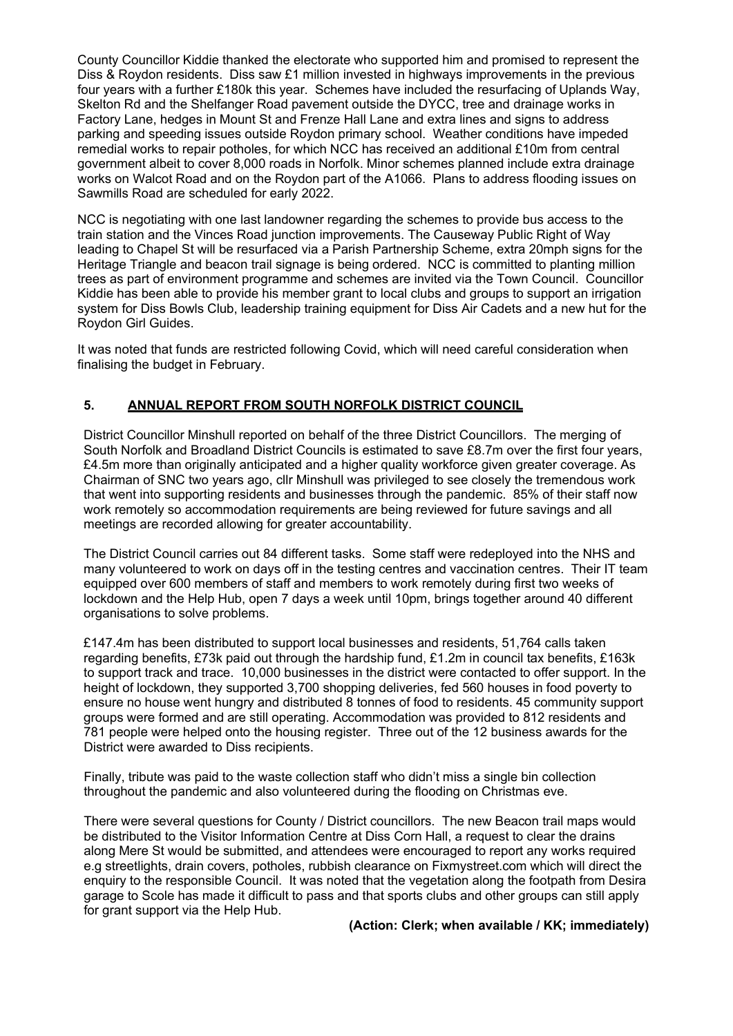County Councillor Kiddie thanked the electorate who supported him and promised to represent the Diss & Roydon residents. Diss saw £1 million invested in highways improvements in the previous four years with a further £180k this year. Schemes have included the resurfacing of Uplands Way, Skelton Rd and the Shelfanger Road pavement outside the DYCC, tree and drainage works in Factory Lane, hedges in Mount St and Frenze Hall Lane and extra lines and signs to address parking and speeding issues outside Roydon primary school. Weather conditions have impeded remedial works to repair potholes, for which NCC has received an additional £10m from central government albeit to cover 8,000 roads in Norfolk. Minor schemes planned include extra drainage works on Walcot Road and on the Roydon part of the A1066. Plans to address flooding issues on Sawmills Road are scheduled for early 2022.

NCC is negotiating with one last landowner regarding the schemes to provide bus access to the train station and the Vinces Road junction improvements. The Causeway Public Right of Way leading to Chapel St will be resurfaced via a Parish Partnership Scheme, extra 20mph signs for the Heritage Triangle and beacon trail signage is being ordered. NCC is committed to planting million trees as part of environment programme and schemes are invited via the Town Council. Councillor Kiddie has been able to provide his member grant to local clubs and groups to support an irrigation system for Diss Bowls Club, leadership training equipment for Diss Air Cadets and a new hut for the Roydon Girl Guides.

It was noted that funds are restricted following Covid, which will need careful consideration when finalising the budget in February.

## **5. ANNUAL REPORT FROM SOUTH NORFOLK DISTRICT COUNCIL**

District Councillor Minshull reported on behalf of the three District Councillors. The merging of South Norfolk and Broadland District Councils is estimated to save £8.7m over the first four years, £4.5m more than originally anticipated and a higher quality workforce given greater coverage. As Chairman of SNC two years ago, cllr Minshull was privileged to see closely the tremendous work that went into supporting residents and businesses through the pandemic. 85% of their staff now work remotely so accommodation requirements are being reviewed for future savings and all meetings are recorded allowing for greater accountability.

The District Council carries out 84 different tasks. Some staff were redeployed into the NHS and many volunteered to work on days off in the testing centres and vaccination centres. Their IT team equipped over 600 members of staff and members to work remotely during first two weeks of lockdown and the Help Hub, open 7 days a week until 10pm, brings together around 40 different organisations to solve problems.

£147.4m has been distributed to support local businesses and residents, 51,764 calls taken regarding benefits, £73k paid out through the hardship fund, £1.2m in council tax benefits, £163k to support track and trace. 10,000 businesses in the district were contacted to offer support. In the height of lockdown, they supported 3,700 shopping deliveries, fed 560 houses in food poverty to ensure no house went hungry and distributed 8 tonnes of food to residents. 45 community support groups were formed and are still operating. Accommodation was provided to 812 residents and 781 people were helped onto the housing register. Three out of the 12 business awards for the District were awarded to Diss recipients.

Finally, tribute was paid to the waste collection staff who didn't miss a single bin collection throughout the pandemic and also volunteered during the flooding on Christmas eve.

There were several questions for County / District councillors. The new Beacon trail maps would be distributed to the Visitor Information Centre at Diss Corn Hall, a request to clear the drains along Mere St would be submitted, and attendees were encouraged to report any works required e.g streetlights, drain covers, potholes, rubbish clearance on Fixmystreet.com which will direct the enquiry to the responsible Council. It was noted that the vegetation along the footpath from Desira garage to Scole has made it difficult to pass and that sports clubs and other groups can still apply for grant support via the Help Hub.

**(Action: Clerk; when available / KK; immediately)**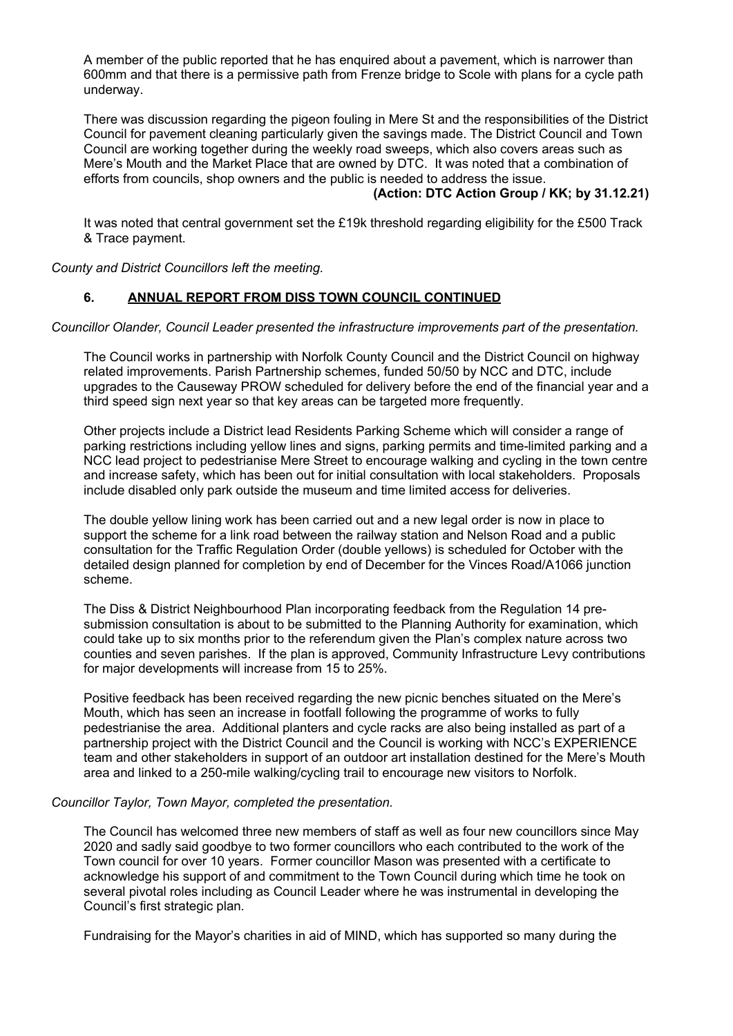A member of the public reported that he has enquired about a pavement, which is narrower than 600mm and that there is a permissive path from Frenze bridge to Scole with plans for a cycle path underway.

There was discussion regarding the pigeon fouling in Mere St and the responsibilities of the District Council for pavement cleaning particularly given the savings made. The District Council and Town Council are working together during the weekly road sweeps, which also covers areas such as Mere's Mouth and the Market Place that are owned by DTC. It was noted that a combination of efforts from councils, shop owners and the public is needed to address the issue.

### **(Action: DTC Action Group / KK; by 31.12.21)**

It was noted that central government set the £19k threshold regarding eligibility for the £500 Track & Trace payment.

*County and District Councillors left the meeting.* 

### **6. ANNUAL REPORT FROM DISS TOWN COUNCIL CONTINUED**

*Councillor Olander, Council Leader presented the infrastructure improvements part of the presentation.* 

The Council works in partnership with Norfolk County Council and the District Council on highway related improvements. Parish Partnership schemes, funded 50/50 by NCC and DTC, include upgrades to the Causeway PROW scheduled for delivery before the end of the financial year and a third speed sign next year so that key areas can be targeted more frequently.

Other projects include a District lead Residents Parking Scheme which will consider a range of parking restrictions including yellow lines and signs, parking permits and time-limited parking and a NCC lead project to pedestrianise Mere Street to encourage walking and cycling in the town centre and increase safety, which has been out for initial consultation with local stakeholders. Proposals include disabled only park outside the museum and time limited access for deliveries.

The double yellow lining work has been carried out and a new legal order is now in place to support the scheme for a link road between the railway station and Nelson Road and a public consultation for the Traffic Regulation Order (double yellows) is scheduled for October with the detailed design planned for completion by end of December for the Vinces Road/A1066 junction scheme.

The Diss & District Neighbourhood Plan incorporating feedback from the Regulation 14 presubmission consultation is about to be submitted to the Planning Authority for examination, which could take up to six months prior to the referendum given the Plan's complex nature across two counties and seven parishes. If the plan is approved, Community Infrastructure Levy contributions for major developments will increase from 15 to 25%.

Positive feedback has been received regarding the new picnic benches situated on the Mere's Mouth, which has seen an increase in footfall following the programme of works to fully pedestrianise the area. Additional planters and cycle racks are also being installed as part of a partnership project with the District Council and the Council is working with NCC's EXPERIENCE team and other stakeholders in support of an outdoor art installation destined for the Mere's Mouth area and linked to a 250-mile walking/cycling trail to encourage new visitors to Norfolk.

#### *Councillor Taylor, Town Mayor, completed the presentation.*

The Council has welcomed three new members of staff as well as four new councillors since May 2020 and sadly said goodbye to two former councillors who each contributed to the work of the Town council for over 10 years. Former councillor Mason was presented with a certificate to acknowledge his support of and commitment to the Town Council during which time he took on several pivotal roles including as Council Leader where he was instrumental in developing the Council's first strategic plan.

Fundraising for the Mayor's charities in aid of MIND, which has supported so many during the